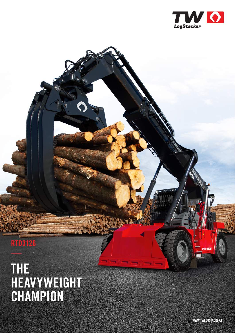

## **RTD3126**

## **THE HEAVYWEIGHT CHAMPION**

**WWW.TWLOGSTACKER.FI**

**RTD3126**